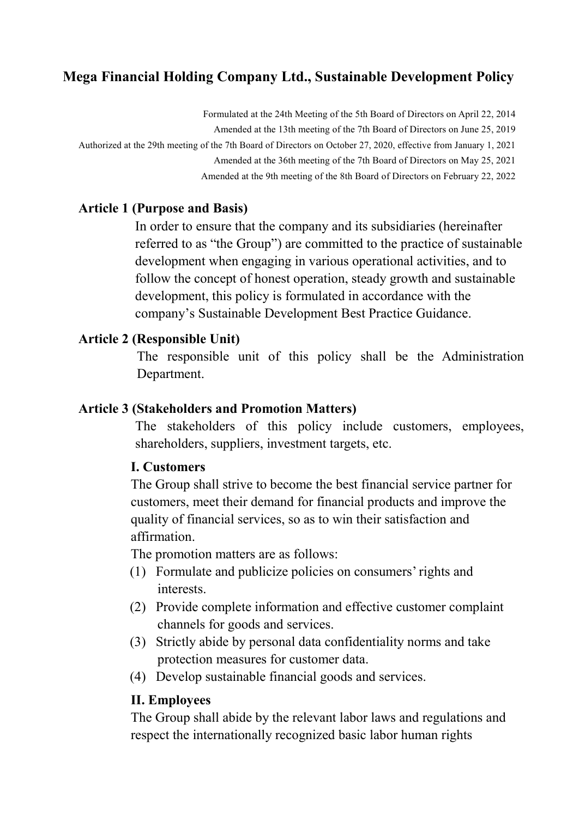# **Mega Financial Holding Company Ltd., Sustainable Development Policy**

Formulated at the 24th Meeting of the 5th Board of Directors on April 22, 2014 Amended at the 13th meeting of the 7th Board of Directors on June 25, 2019 Authorized at the 29th meeting of the 7th Board of Directors on October 27, 2020, effective from January 1, 2021 Amended at the 36th meeting of the 7th Board of Directors on May 25, 2021

Amended at the 9th meeting of the 8th Board of Directors on February 22, 2022

### **Article 1 (Purpose and Basis)**

In order to ensure that the company and its subsidiaries (hereinafter referred to as "the Group") are committed to the practice of sustainable development when engaging in various operational activities, and to follow the concept of honest operation, steady growth and sustainable development, this policy is formulated in accordance with the company's Sustainable Development Best Practice Guidance.

#### **Article 2 (Responsible Unit)**

The responsible unit of this policy shall be the Administration Department.

#### **Article 3 (Stakeholders and Promotion Matters)**

The stakeholders of this policy include customers, employees, shareholders, suppliers, investment targets, etc.

#### **I. Customers**

The Group shall strive to become the best financial service partner for customers, meet their demand for financial products and improve the quality of financial services, so as to win their satisfaction and affirmation.

The promotion matters are as follows:

- (1) Formulate and publicize policies on consumers' rights and interests.
- (2) Provide complete information and effective customer complaint channels for goods and services.
- (3) Strictly abide by personal data confidentiality norms and take protection measures for customer data.
- (4) Develop sustainable financial goods and services.

### **II. Employees**

The Group shall abide by the relevant labor laws and regulations and respect the internationally recognized basic labor human rights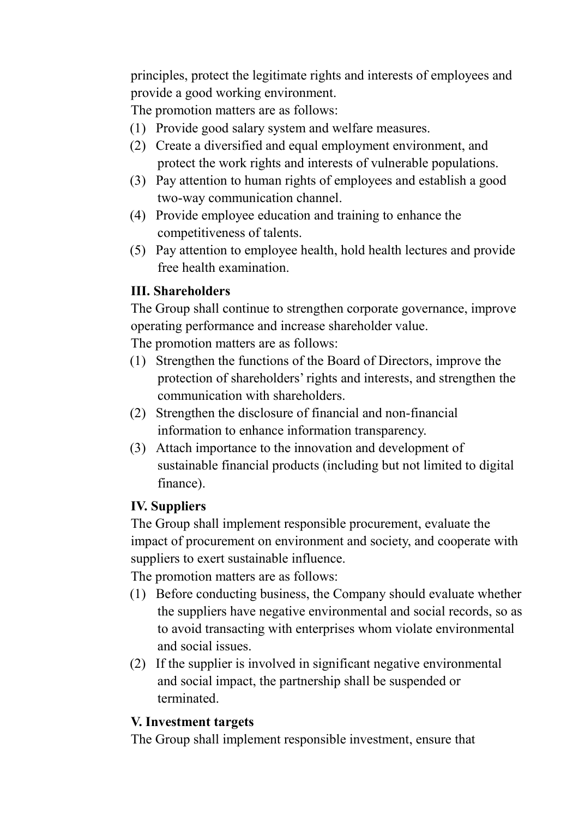principles, protect the legitimate rights and interests of employees and provide a good working environment.

The promotion matters are as follows:

- (1) Provide good salary system and welfare measures.
- (2) Create a diversified and equal employment environment, and protect the work rights and interests of vulnerable populations.
- (3) Pay attention to human rights of employees and establish a good two-way communication channel.
- (4) Provide employee education and training to enhance the competitiveness of talents.
- (5) Pay attention to employee health, hold health lectures and provide free health examination.

## **III. Shareholders**

The Group shall continue to strengthen corporate governance, improve operating performance and increase shareholder value.

The promotion matters are as follows:

- (1) Strengthen the functions of the Board of Directors, improve the protection of shareholders' rights and interests, and strengthen the communication with shareholders.
- (2) Strengthen the disclosure of financial and non-financial information to enhance information transparency.
- (3) Attach importance to the innovation and development of sustainable financial products (including but not limited to digital finance).

### **IV. Suppliers**

The Group shall implement responsible procurement, evaluate the impact of procurement on environment and society, and cooperate with suppliers to exert sustainable influence.

The promotion matters are as follows:

- (1) Before conducting business, the Company should evaluate whether the suppliers have negative environmental and social records, so as to avoid transacting with enterprises whom violate environmental and social issues.
- (2) If the supplier is involved in significant negative environmental and social impact, the partnership shall be suspended or terminated.

## **V. Investment targets**

The Group shall implement responsible investment, ensure that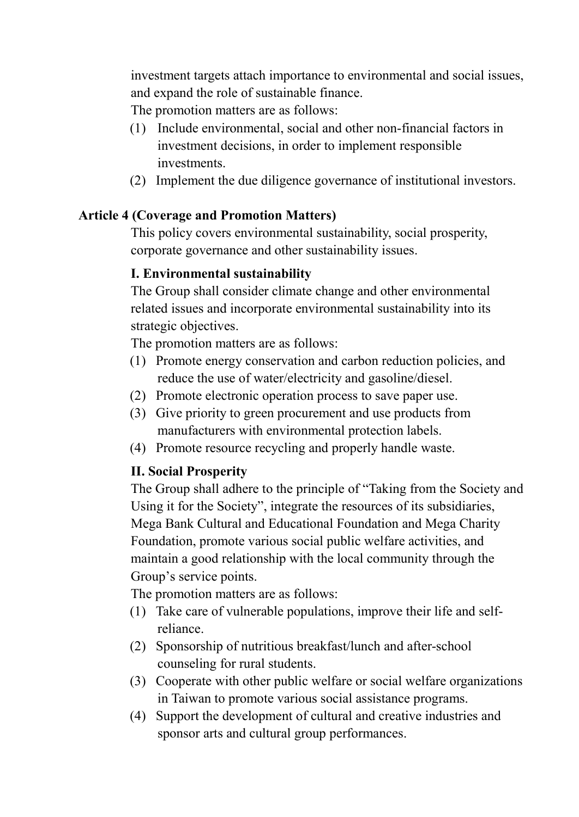investment targets attach importance to environmental and social issues, and expand the role of sustainable finance.

The promotion matters are as follows:

- (1) Include environmental, social and other non-financial factors in investment decisions, in order to implement responsible investments.
- (2) Implement the due diligence governance of institutional investors.

### **Article 4 (Coverage and Promotion Matters)**

This policy covers environmental sustainability, social prosperity, corporate governance and other sustainability issues.

### **I. Environmental sustainability**

The Group shall consider climate change and other environmental related issues and incorporate environmental sustainability into its strategic objectives.

The promotion matters are as follows:

- (1) Promote energy conservation and carbon reduction policies, and reduce the use of water/electricity and gasoline/diesel.
- (2) Promote electronic operation process to save paper use.
- (3) Give priority to green procurement and use products from manufacturers with environmental protection labels.
- (4) Promote resource recycling and properly handle waste.

## **II. Social Prosperity**

The Group shall adhere to the principle of "Taking from the Society and Using it for the Society", integrate the resources of its subsidiaries, Mega Bank Cultural and Educational Foundation and Mega Charity Foundation, promote various social public welfare activities, and maintain a good relationship with the local community through the Group's service points.

The promotion matters are as follows:

- (1) Take care of vulnerable populations, improve their life and selfreliance.
- (2) Sponsorship of nutritious breakfast/lunch and after-school counseling for rural students.
- (3) Cooperate with other public welfare or social welfare organizations in Taiwan to promote various social assistance programs.
- (4) Support the development of cultural and creative industries and sponsor arts and cultural group performances.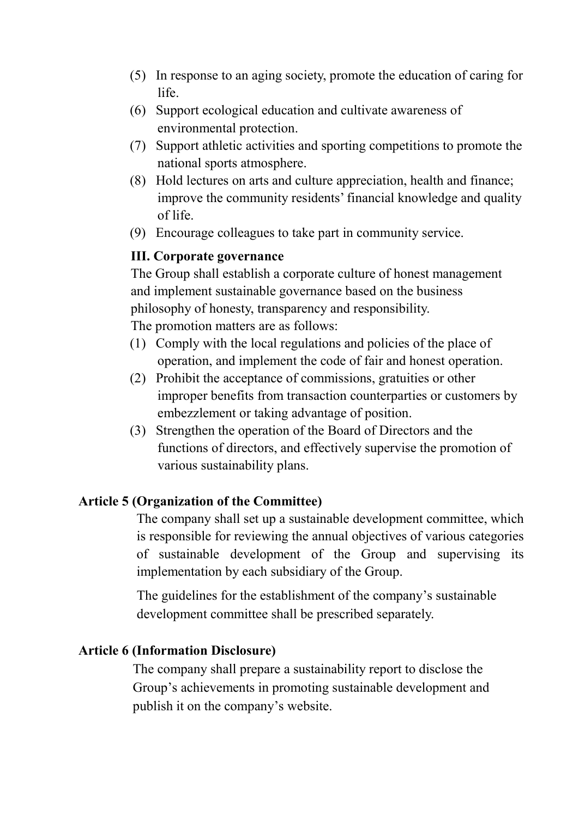- (5) In response to an aging society, promote the education of caring for life.
- (6) Support ecological education and cultivate awareness of environmental protection.
- (7) Support athletic activities and sporting competitions to promote the national sports atmosphere.
- (8) Hold lectures on arts and culture appreciation, health and finance; improve the community residents' financial knowledge and quality of life.
- (9) Encourage colleagues to take part in community service.

#### **III. Corporate governance**

The Group shall establish a corporate culture of honest management and implement sustainable governance based on the business philosophy of honesty, transparency and responsibility. The promotion matters are as follows:

(1) Comply with the local regulations and policies of the place of operation, and implement the code of fair and honest operation.

- (2) Prohibit the acceptance of commissions, gratuities or other improper benefits from transaction counterparties or customers by embezzlement or taking advantage of position.
- (3) Strengthen the operation of the Board of Directors and the functions of directors, and effectively supervise the promotion of various sustainability plans.

#### **Article 5 (Organization of the Committee)**

The company shall set up a sustainable development committee, which is responsible for reviewing the annual objectives of various categories of sustainable development of the Group and supervising its implementation by each subsidiary of the Group.

The guidelines for the establishment of the company's sustainable development committee shall be prescribed separately.

#### **Article 6 (Information Disclosure)**

 The company shall prepare a sustainability report to disclose the Group's achievements in promoting sustainable development and publish it on the company's website.